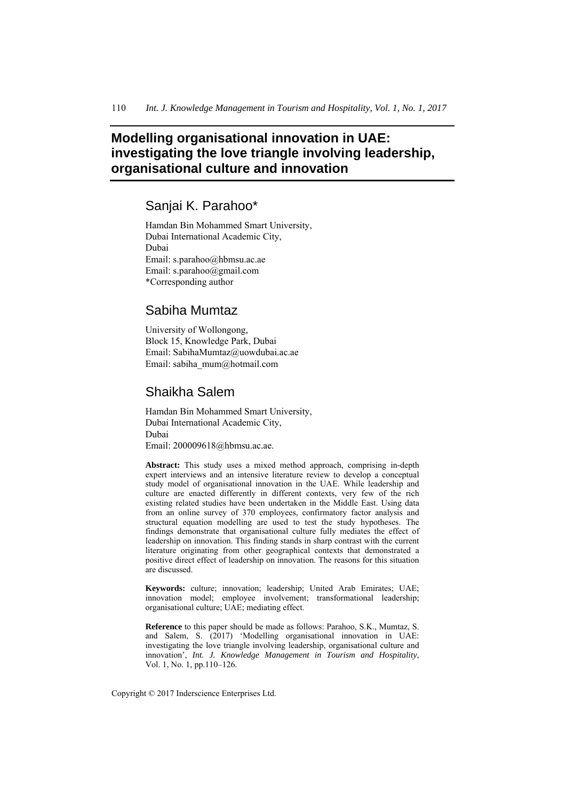# **Modelling organisational innovation in UAE: investigating the love triangle involving leadership, organisational culture and innovation**

## Sanjai K. Parahoo\*

Hamdan Bin Mohammed Smart University, Dubai International Academic City, Dubai Email: s.parahoo@hbmsu.ac.ae Email: s.parahoo@gmail.com \*Corresponding author

## Sabiha Mumtaz

University of Wollongong, Block 15, Knowledge Park, Dubai Email: SabihaMumtaz@uowdubai.ac.ae Email: sabiha\_mum@hotmail.com

## Shaikha Salem

Hamdan Bin Mohammed Smart University, Dubai International Academic City, Dubai Email: 200009618@hbmsu.ac.ae.

**Abstract:** This study uses a mixed method approach, comprising in-depth expert interviews and an intensive literature review to develop a conceptual study model of organisational innovation in the UAE. While leadership and culture are enacted differently in different contexts, very few of the rich existing related studies have been undertaken in the Middle East. Using data from an online survey of 370 employees, confirmatory factor analysis and structural equation modelling are used to test the study hypotheses. The findings demonstrate that organisational culture fully mediates the effect of leadership on innovation. This finding stands in sharp contrast with the current literature originating from other geographical contexts that demonstrated a positive direct effect of leadership on innovation. The reasons for this situation are discussed.

**Keywords:** culture; innovation; leadership; United Arab Emirates; UAE; innovation model; employee involvement; transformational leadership; organisational culture; UAE; mediating effect.

**Reference** to this paper should be made as follows: Parahoo, S.K., Mumtaz, S. and Salem, S. (2017) 'Modelling organisational innovation in UAE: investigating the love triangle involving leadership, organisational culture and innovation', *Int. J. Knowledge Management in Tourism and Hospitality*, Vol. 1, No. 1, pp.110–126.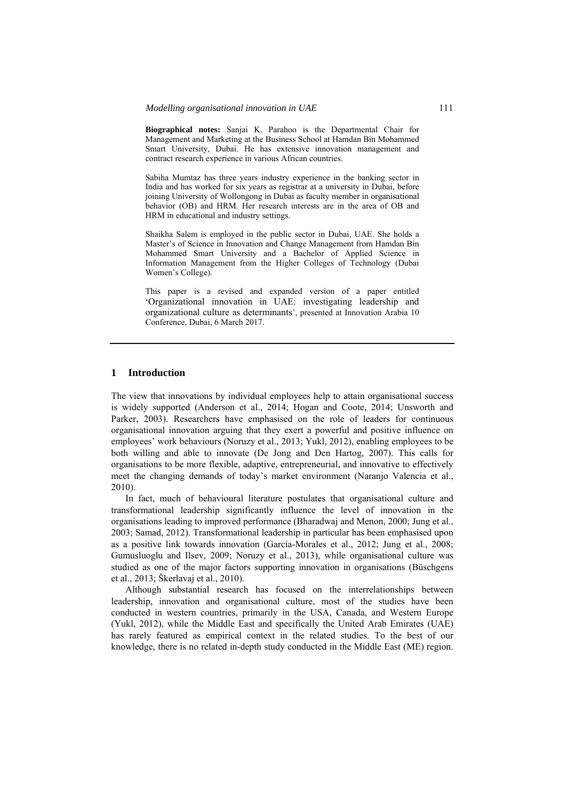**Biographical notes:** Sanjai K. Parahoo is the Departmental Chair for Management and Marketing at the Business School at Hamdan Bin Mohammed Smart University, Dubai. He has extensive innovation management and contract research experience in various African countries.

Sabiha Mumtaz has three years industry experience in the banking sector in India and has worked for six years as registrar at a university in Dubai, before joining University of Wollongong in Dubai as faculty member in organisational behavior (OB) and HRM. Her research interests are in the area of OB and HRM in educational and industry settings.

Shaikha Salem is employed in the public sector in Dubai, UAE. She holds a Master's of Science in Innovation and Change Management from Hamdan Bin Mohammed Smart University and a Bachelor of Applied Science in Information Management from the Higher Colleges of Technology (Dubai Women's College).

This paper is a revised and expanded version of a paper entitled 'Organizational innovation in UAE: investigating leadership and organizational culture as determinants', presented at Innovation Arabia 10 Conference, Dubai, 6 March 2017.

#### **1 Introduction**

The view that innovations by individual employees help to attain organisational success is widely supported (Anderson et al., 2014; Hogan and Coote, 2014; Unsworth and Parker, 2003). Researchers have emphasised on the role of leaders for continuous organisational innovation arguing that they exert a powerful and positive influence on employees' work behaviours (Noruzy et al., 2013; Yukl, 2012), enabling employees to be both willing and able to innovate (De Jong and Den Hartog, 2007). This calls for organisations to be more flexible, adaptive, entrepreneurial, and innovative to effectively meet the changing demands of today's market environment (Naranjo Valencia et al., 2010).

In fact, much of behavioural literature postulates that organisational culture and transformational leadership significantly influence the level of innovation in the organisations leading to improved performance (Bharadwaj and Menon, 2000; Jung et al., 2003; Samad, 2012). Transformational leadership in particular has been emphasised upon as a positive link towards innovation (García-Morales et al., 2012; Jung et al., 2008; Gumusluoglu and Ilsev, 2009; Noruzy et al., 2013), while organisational culture was studied as one of the major factors supporting innovation in organisations (Büschgens et al., 2013; Škerlavaj et al., 2010).

Although substantial research has focused on the interrelationships between leadership, innovation and organisational culture, most of the studies have been conducted in western countries, primarily in the USA, Canada, and Western Europe (Yukl, 2012), while the Middle East and specifically the United Arab Emirates (UAE) has rarely featured as empirical context in the related studies. To the best of our knowledge, there is no related in-depth study conducted in the Middle East (ME) region.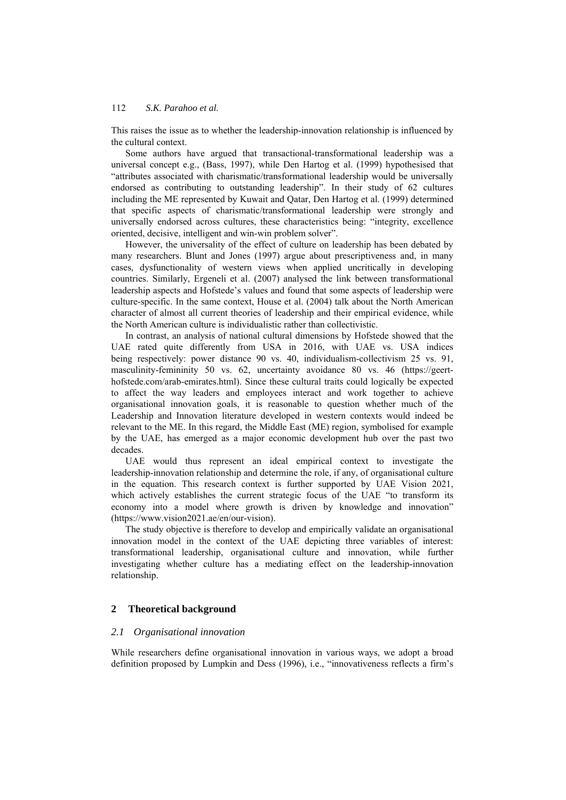This raises the issue as to whether the leadership-innovation relationship is influenced by the cultural context.

Some authors have argued that transactional-transformational leadership was a universal concept e.g., (Bass, 1997), while Den Hartog et al. (1999) hypothesised that "attributes associated with charismatic/transformational leadership would be universally endorsed as contributing to outstanding leadership". In their study of 62 cultures including the ME represented by Kuwait and Qatar, Den Hartog et al. (1999) determined that specific aspects of charismatic/transformational leadership were strongly and universally endorsed across cultures, these characteristics being: "integrity, excellence oriented, decisive, intelligent and win-win problem solver".

However, the universality of the effect of culture on leadership has been debated by many researchers. Blunt and Jones (1997) argue about prescriptiveness and, in many cases, dysfunctionality of western views when applied uncritically in developing countries. Similarly, Ergeneli et al. (2007) analysed the link between transformational leadership aspects and Hofstede's values and found that some aspects of leadership were culture-specific. In the same context, House et al. (2004) talk about the North American character of almost all current theories of leadership and their empirical evidence, while the North American culture is individualistic rather than collectivistic.

In contrast, an analysis of national cultural dimensions by Hofstede showed that the UAE rated quite differently from USA in 2016, with UAE vs. USA indices being respectively: power distance 90 vs. 40, individualism-collectivism 25 vs. 91, masculinity-femininity 50 vs. 62, uncertainty avoidance 80 vs. 46 (https://geerthofstede.com/arab-emirates.html). Since these cultural traits could logically be expected to affect the way leaders and employees interact and work together to achieve organisational innovation goals, it is reasonable to question whether much of the Leadership and Innovation literature developed in western contexts would indeed be relevant to the ME. In this regard, the Middle East (ME) region, symbolised for example by the UAE, has emerged as a major economic development hub over the past two decades.

UAE would thus represent an ideal empirical context to investigate the leadership-innovation relationship and determine the role, if any, of organisational culture in the equation. This research context is further supported by UAE Vision 2021, which actively establishes the current strategic focus of the UAE "to transform its economy into a model where growth is driven by knowledge and innovation" (https://www.vision2021.ae/en/our-vision).

The study objective is therefore to develop and empirically validate an organisational innovation model in the context of the UAE depicting three variables of interest: transformational leadership, organisational culture and innovation, while further investigating whether culture has a mediating effect on the leadership-innovation relationship.

## **2 Theoretical background**

#### *2.1 Organisational innovation*

While researchers define organisational innovation in various ways, we adopt a broad definition proposed by Lumpkin and Dess (1996), i.e., "innovativeness reflects a firm's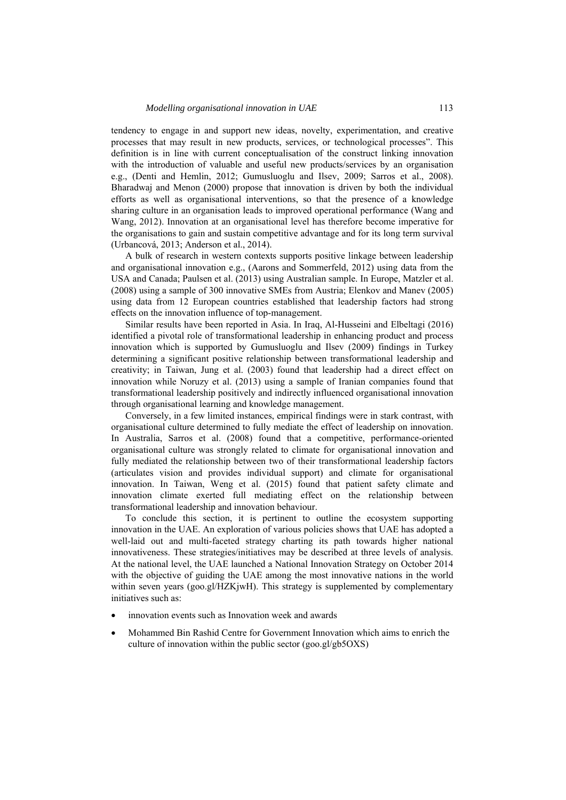tendency to engage in and support new ideas, novelty, experimentation, and creative processes that may result in new products, services, or technological processes". This definition is in line with current conceptualisation of the construct linking innovation with the introduction of valuable and useful new products/services by an organisation e.g., (Denti and Hemlin, 2012; Gumusluoglu and Ilsev, 2009; Sarros et al., 2008). Bharadwaj and Menon (2000) propose that innovation is driven by both the individual efforts as well as organisational interventions, so that the presence of a knowledge sharing culture in an organisation leads to improved operational performance (Wang and Wang, 2012). Innovation at an organisational level has therefore become imperative for the organisations to gain and sustain competitive advantage and for its long term survival (Urbancová, 2013; Anderson et al., 2014).

A bulk of research in western contexts supports positive linkage between leadership and organisational innovation e.g., (Aarons and Sommerfeld, 2012) using data from the USA and Canada; Paulsen et al. (2013) using Australian sample. In Europe, Matzler et al. (2008) using a sample of 300 innovative SMEs from Austria; Elenkov and Manev (2005) using data from 12 European countries established that leadership factors had strong effects on the innovation influence of top-management.

Similar results have been reported in Asia. In Iraq, Al-Husseini and Elbeltagi (2016) identified a pivotal role of transformational leadership in enhancing product and process innovation which is supported by Gumusluoglu and Ilsev (2009) findings in Turkey determining a significant positive relationship between transformational leadership and creativity; in Taiwan, Jung et al. (2003) found that leadership had a direct effect on innovation while Noruzy et al. (2013) using a sample of Iranian companies found that transformational leadership positively and indirectly influenced organisational innovation through organisational learning and knowledge management.

Conversely, in a few limited instances, empirical findings were in stark contrast, with organisational culture determined to fully mediate the effect of leadership on innovation. In Australia, Sarros et al. (2008) found that a competitive, performance-oriented organisational culture was strongly related to climate for organisational innovation and fully mediated the relationship between two of their transformational leadership factors (articulates vision and provides individual support) and climate for organisational innovation. In Taiwan, Weng et al. (2015) found that patient safety climate and innovation climate exerted full mediating effect on the relationship between transformational leadership and innovation behaviour.

To conclude this section, it is pertinent to outline the ecosystem supporting innovation in the UAE. An exploration of various policies shows that UAE has adopted a well-laid out and multi-faceted strategy charting its path towards higher national innovativeness. These strategies/initiatives may be described at three levels of analysis. At the national level, the UAE launched a National Innovation Strategy on October 2014 with the objective of guiding the UAE among the most innovative nations in the world within seven years (goo.gl/HZKjwH). This strategy is supplemented by complementary initiatives such as:

- innovation events such as Innovation week and awards
- Mohammed Bin Rashid Centre for Government Innovation which aims to enrich the culture of innovation within the public sector (goo.gl/gb5OXS)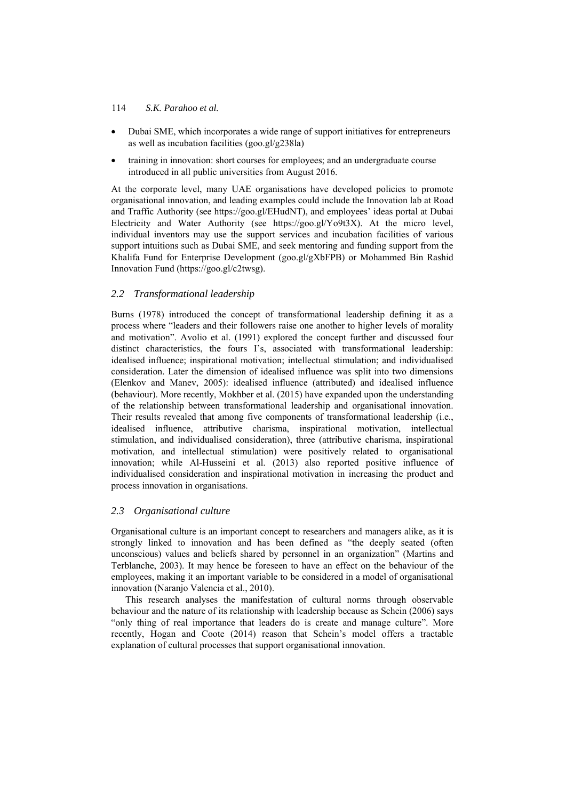- Dubai SME, which incorporates a wide range of support initiatives for entrepreneurs as well as incubation facilities (goo.gl/g238la)
- training in innovation: short courses for employees; and an undergraduate course introduced in all public universities from August 2016.

At the corporate level, many UAE organisations have developed policies to promote organisational innovation, and leading examples could include the Innovation lab at Road and Traffic Authority (see https://goo.gl/EHudNT), and employees' ideas portal at Dubai Electricity and Water Authority (see https://goo.gl/Yo9t3X). At the micro level, individual inventors may use the support services and incubation facilities of various support intuitions such as Dubai SME, and seek mentoring and funding support from the Khalifa Fund for Enterprise Development (goo.gl/gXbFPB) or Mohammed Bin Rashid Innovation Fund (https://goo.gl/c2twsg).

## *2.2 Transformational leadership*

Burns (1978) introduced the concept of transformational leadership defining it as a process where "leaders and their followers raise one another to higher levels of morality and motivation". Avolio et al. (1991) explored the concept further and discussed four distinct characteristics, the fours I's, associated with transformational leadership: idealised influence; inspirational motivation; intellectual stimulation; and individualised consideration. Later the dimension of idealised influence was split into two dimensions (Elenkov and Manev, 2005): idealised influence (attributed) and idealised influence (behaviour). More recently, Mokhber et al. (2015) have expanded upon the understanding of the relationship between transformational leadership and organisational innovation. Their results revealed that among five components of transformational leadership (i.e., idealised influence, attributive charisma, inspirational motivation, intellectual stimulation, and individualised consideration), three (attributive charisma, inspirational motivation, and intellectual stimulation) were positively related to organisational innovation; while Al-Husseini et al. (2013) also reported positive influence of individualised consideration and inspirational motivation in increasing the product and process innovation in organisations.

#### *2.3 Organisational culture*

Organisational culture is an important concept to researchers and managers alike, as it is strongly linked to innovation and has been defined as "the deeply seated (often unconscious) values and beliefs shared by personnel in an organization" (Martins and Terblanche, 2003). It may hence be foreseen to have an effect on the behaviour of the employees, making it an important variable to be considered in a model of organisational innovation (Naranjo Valencia et al., 2010).

This research analyses the manifestation of cultural norms through observable behaviour and the nature of its relationship with leadership because as Schein (2006) says "only thing of real importance that leaders do is create and manage culture". More recently, Hogan and Coote (2014) reason that Schein's model offers a tractable explanation of cultural processes that support organisational innovation.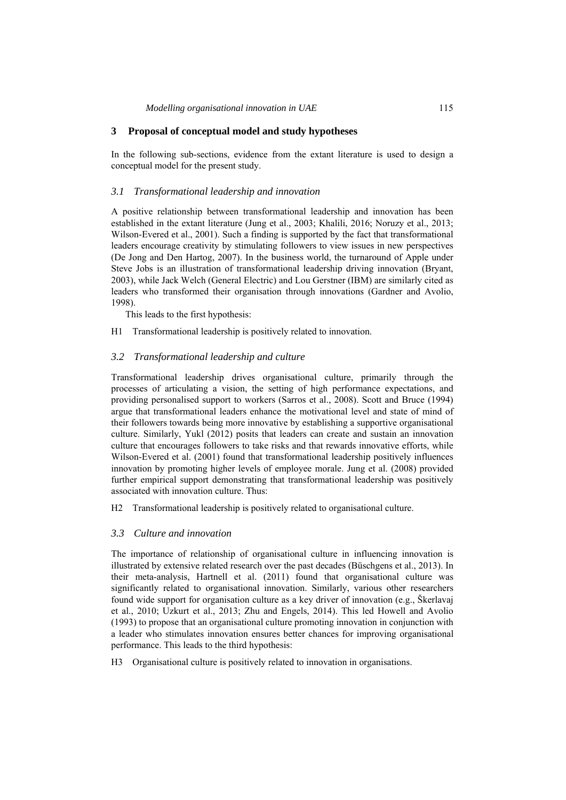#### **3 Proposal of conceptual model and study hypotheses**

In the following sub-sections, evidence from the extant literature is used to design a conceptual model for the present study.

#### *3.1 Transformational leadership and innovation*

A positive relationship between transformational leadership and innovation has been established in the extant literature (Jung et al., 2003; Khalili, 2016; Noruzy et al., 2013; Wilson-Evered et al., 2001). Such a finding is supported by the fact that transformational leaders encourage creativity by stimulating followers to view issues in new perspectives (De Jong and Den Hartog, 2007). In the business world, the turnaround of Apple under Steve Jobs is an illustration of transformational leadership driving innovation (Bryant, 2003), while Jack Welch (General Electric) and Lou Gerstner (IBM) are similarly cited as leaders who transformed their organisation through innovations (Gardner and Avolio, 1998).

This leads to the first hypothesis:

H1 Transformational leadership is positively related to innovation.

## *3.2 Transformational leadership and culture*

Transformational leadership drives organisational culture, primarily through the processes of articulating a vision, the setting of high performance expectations, and providing personalised support to workers (Sarros et al., 2008). Scott and Bruce (1994) argue that transformational leaders enhance the motivational level and state of mind of their followers towards being more innovative by establishing a supportive organisational culture. Similarly, Yukl (2012) posits that leaders can create and sustain an innovation culture that encourages followers to take risks and that rewards innovative efforts, while Wilson-Evered et al. (2001) found that transformational leadership positively influences innovation by promoting higher levels of employee morale. Jung et al. (2008) provided further empirical support demonstrating that transformational leadership was positively associated with innovation culture. Thus:

H2 Transformational leadership is positively related to organisational culture.

#### *3.3 Culture and innovation*

The importance of relationship of organisational culture in influencing innovation is illustrated by extensive related research over the past decades (Büschgens et al., 2013). In their meta-analysis, Hartnell et al. (2011) found that organisational culture was significantly related to organisational innovation. Similarly, various other researchers found wide support for organisation culture as a key driver of innovation (e.g., Škerlavaj et al., 2010; Uzkurt et al., 2013; Zhu and Engels, 2014). This led Howell and Avolio (1993) to propose that an organisational culture promoting innovation in conjunction with a leader who stimulates innovation ensures better chances for improving organisational performance. This leads to the third hypothesis:

H3 Organisational culture is positively related to innovation in organisations.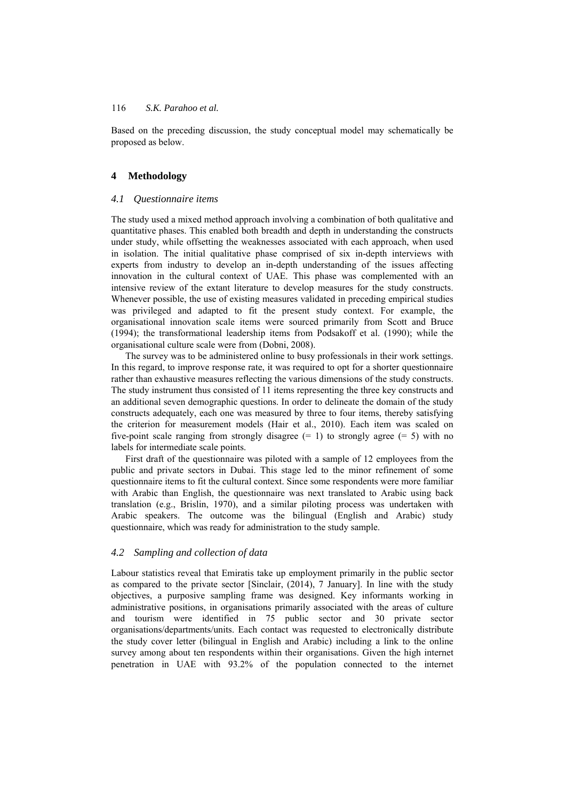Based on the preceding discussion, the study conceptual model may schematically be proposed as below.

## **4 Methodology**

#### *4.1 Questionnaire items*

The study used a mixed method approach involving a combination of both qualitative and quantitative phases. This enabled both breadth and depth in understanding the constructs under study, while offsetting the weaknesses associated with each approach, when used in isolation. The initial qualitative phase comprised of six in-depth interviews with experts from industry to develop an in-depth understanding of the issues affecting innovation in the cultural context of UAE. This phase was complemented with an intensive review of the extant literature to develop measures for the study constructs. Whenever possible, the use of existing measures validated in preceding empirical studies was privileged and adapted to fit the present study context. For example, the organisational innovation scale items were sourced primarily from Scott and Bruce (1994); the transformational leadership items from Podsakoff et al. (1990); while the organisational culture scale were from (Dobni, 2008).

The survey was to be administered online to busy professionals in their work settings. In this regard, to improve response rate, it was required to opt for a shorter questionnaire rather than exhaustive measures reflecting the various dimensions of the study constructs. The study instrument thus consisted of 11 items representing the three key constructs and an additional seven demographic questions. In order to delineate the domain of the study constructs adequately, each one was measured by three to four items, thereby satisfying the criterion for measurement models (Hair et al., 2010). Each item was scaled on five-point scale ranging from strongly disagree  $(= 1)$  to strongly agree  $(= 5)$  with no labels for intermediate scale points.

First draft of the questionnaire was piloted with a sample of 12 employees from the public and private sectors in Dubai. This stage led to the minor refinement of some questionnaire items to fit the cultural context. Since some respondents were more familiar with Arabic than English, the questionnaire was next translated to Arabic using back translation (e.g., Brislin, 1970), and a similar piloting process was undertaken with Arabic speakers. The outcome was the bilingual (English and Arabic) study questionnaire, which was ready for administration to the study sample.

## *4.2 Sampling and collection of data*

Labour statistics reveal that Emiratis take up employment primarily in the public sector as compared to the private sector [Sinclair, (2014), 7 January]. In line with the study objectives, a purposive sampling frame was designed. Key informants working in administrative positions, in organisations primarily associated with the areas of culture and tourism were identified in 75 public sector and 30 private sector organisations/departments/units. Each contact was requested to electronically distribute the study cover letter (bilingual in English and Arabic) including a link to the online survey among about ten respondents within their organisations. Given the high internet penetration in UAE with 93.2% of the population connected to the internet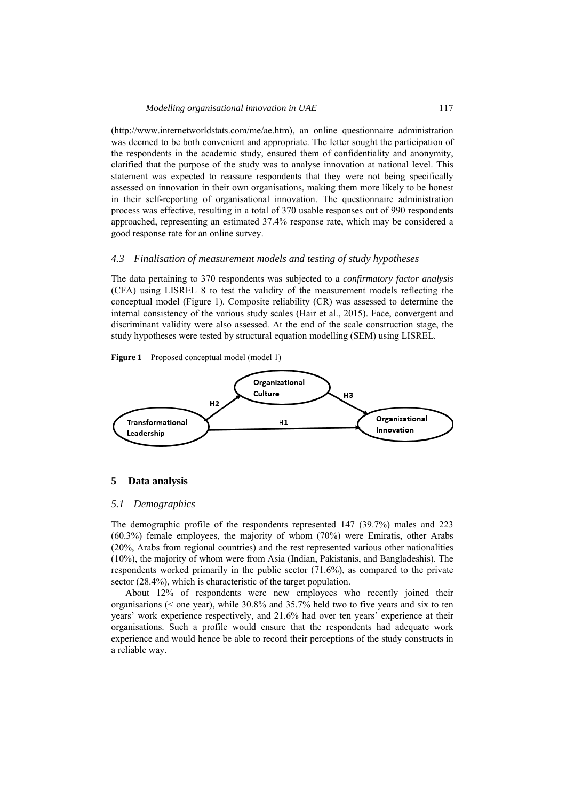(http://www.internetworldstats.com/me/ae.htm), an online questionnaire administration was deemed to be both convenient and appropriate. The letter sought the participation of the respondents in the academic study, ensured them of confidentiality and anonymity, clarified that the purpose of the study was to analyse innovation at national level. This statement was expected to reassure respondents that they were not being specifically assessed on innovation in their own organisations, making them more likely to be honest in their self-reporting of organisational innovation. The questionnaire administration process was effective, resulting in a total of 370 usable responses out of 990 respondents approached, representing an estimated 37.4% response rate, which may be considered a good response rate for an online survey.

## *4.3 Finalisation of measurement models and testing of study hypotheses*

The data pertaining to 370 respondents was subjected to a *confirmatory factor analysis*  (CFA) using LISREL 8 to test the validity of the measurement models reflecting the conceptual model (Figure 1). Composite reliability (CR) was assessed to determine the internal consistency of the various study scales (Hair et al., 2015). Face, convergent and discriminant validity were also assessed. At the end of the scale construction stage, the study hypotheses were tested by structural equation modelling (SEM) using LISREL.

#### **Figure 1** Proposed conceptual model (model 1)



#### **5 Data analysis**

#### *5.1 Demographics*

The demographic profile of the respondents represented 147 (39.7%) males and 223 (60.3%) female employees, the majority of whom (70%) were Emiratis, other Arabs (20%, Arabs from regional countries) and the rest represented various other nationalities (10%), the majority of whom were from Asia (Indian, Pakistanis, and Bangladeshis). The respondents worked primarily in the public sector (71.6%), as compared to the private sector (28.4%), which is characteristic of the target population.

About 12% of respondents were new employees who recently joined their organisations (< one year), while 30.8% and 35.7% held two to five years and six to ten years' work experience respectively, and 21.6% had over ten years' experience at their organisations. Such a profile would ensure that the respondents had adequate work experience and would hence be able to record their perceptions of the study constructs in a reliable way.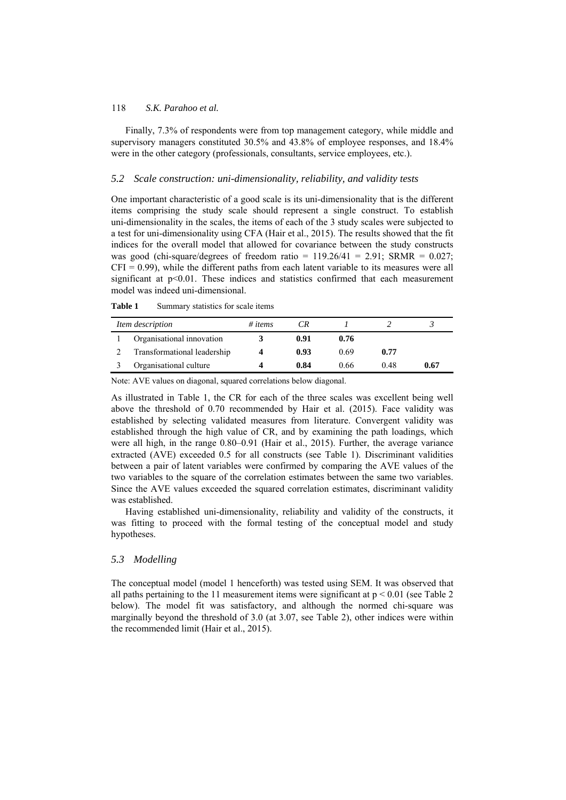Finally, 7.3% of respondents were from top management category, while middle and supervisory managers constituted 30.5% and 43.8% of employee responses, and 18.4% were in the other category (professionals, consultants, service employees, etc.).

#### *5.2 Scale construction: uni-dimensionality, reliability, and validity tests*

One important characteristic of a good scale is its uni-dimensionality that is the different items comprising the study scale should represent a single construct. To establish uni-dimensionality in the scales, the items of each of the 3 study scales were subjected to a test for uni-dimensionality using CFA (Hair et al., 2015). The results showed that the fit indices for the overall model that allowed for covariance between the study constructs was good (chi-square/degrees of freedom ratio =  $119.26/41 = 2.91$ ; SRMR = 0.027;  $CFI = 0.99$ ), while the different paths from each latent variable to its measures were all significant at p<0.01. These indices and statistics confirmed that each measurement model was indeed uni-dimensional.

Table 1 Summary statistics for scale items

| Item description |                             | # items | CR.  |      |      |      |
|------------------|-----------------------------|---------|------|------|------|------|
|                  | Organisational innovation   |         | 0.91 | 0.76 |      |      |
|                  | Transformational leadership |         | 0.93 | 0.69 | 0.77 |      |
|                  | Organisational culture      |         | 0.84 | 0.66 | 0.48 | 0.67 |

Note: AVE values on diagonal, squared correlations below diagonal.

As illustrated in Table 1, the CR for each of the three scales was excellent being well above the threshold of 0.70 recommended by Hair et al. (2015). Face validity was established by selecting validated measures from literature. Convergent validity was established through the high value of CR, and by examining the path loadings, which were all high, in the range 0.80–0.91 (Hair et al., 2015). Further, the average variance extracted (AVE) exceeded 0.5 for all constructs (see Table 1). Discriminant validities between a pair of latent variables were confirmed by comparing the AVE values of the two variables to the square of the correlation estimates between the same two variables. Since the AVE values exceeded the squared correlation estimates, discriminant validity was established.

Having established uni-dimensionality, reliability and validity of the constructs, it was fitting to proceed with the formal testing of the conceptual model and study hypotheses.

## *5.3 Modelling*

The conceptual model (model 1 henceforth) was tested using SEM. It was observed that all paths pertaining to the 11 measurement items were significant at  $p \le 0.01$  (see Table 2) below). The model fit was satisfactory, and although the normed chi-square was marginally beyond the threshold of 3.0 (at 3.07, see Table 2), other indices were within the recommended limit (Hair et al., 2015).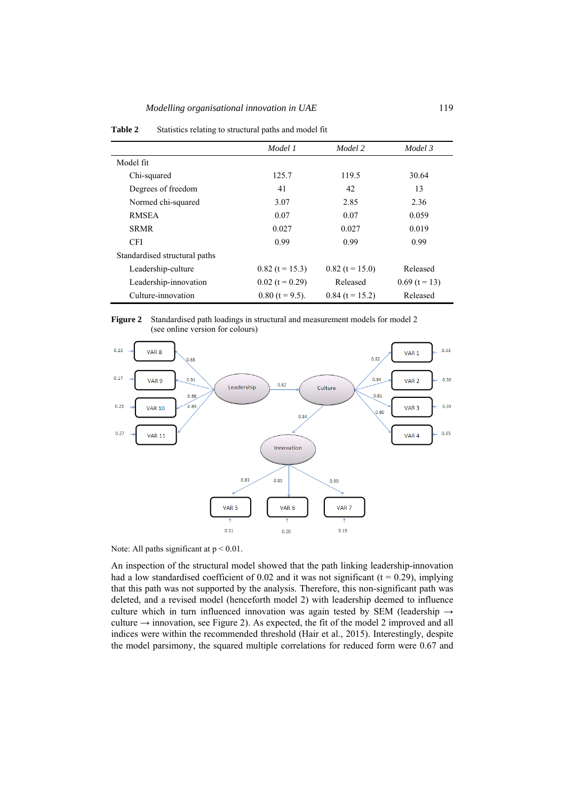|                               | Model 1           | Model 2           | Model 3         |
|-------------------------------|-------------------|-------------------|-----------------|
| Model fit                     |                   |                   |                 |
| Chi-squared                   | 125.7             | 119.5             | 30.64           |
| Degrees of freedom            | 41                | 42                | 13              |
| Normed chi-squared            | 3.07              | 2.85              | 2.36            |
| <b>RMSEA</b>                  | 0.07              | 0.07              | 0.059           |
| <b>SRMR</b>                   | 0.027             | 0.027             | 0.019           |
| <b>CFI</b>                    | 0.99              | 0.99              | 0.99            |
| Standardised structural paths |                   |                   |                 |
| Leadership-culture            | $0.82$ (t = 15.3) | $0.82$ (t = 15.0) | Released        |
| Leadership-innovation         | $0.02$ (t = 0.29) | Released          | $0.69$ (t = 13) |
| Culture-innovation            | $0.80$ (t = 9.5). | $0.84$ (t = 15.2) | Released        |

**Table 2** Statistics relating to structural paths and model fit

#### **Figure 2** Standardised path loadings in structural and measurement models for model 2 (see online version for colours)





An inspection of the structural model showed that the path linking leadership-innovation had a low standardised coefficient of 0.02 and it was not significant ( $t = 0.29$ ), implying that this path was not supported by the analysis. Therefore, this non-significant path was deleted, and a revised model (henceforth model 2) with leadership deemed to influence culture which in turn influenced innovation was again tested by SEM (leadership  $\rightarrow$ culture  $\rightarrow$  innovation, see Figure 2). As expected, the fit of the model 2 improved and all indices were within the recommended threshold (Hair et al., 2015). Interestingly, despite the model parsimony, the squared multiple correlations for reduced form were 0.67 and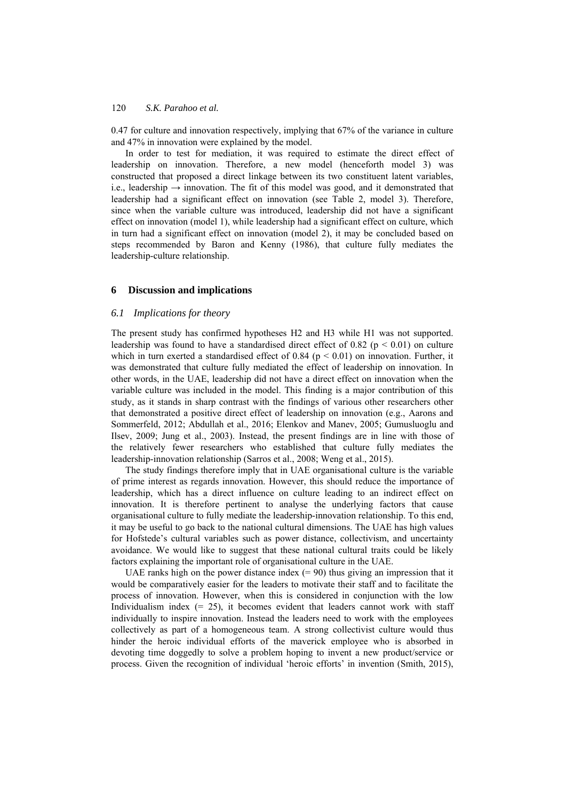0.47 for culture and innovation respectively, implying that 67% of the variance in culture and 47% in innovation were explained by the model.

In order to test for mediation, it was required to estimate the direct effect of leadership on innovation. Therefore, a new model (henceforth model 3) was constructed that proposed a direct linkage between its two constituent latent variables, i.e., leadership  $\rightarrow$  innovation. The fit of this model was good, and it demonstrated that leadership had a significant effect on innovation (see Table 2, model 3). Therefore, since when the variable culture was introduced, leadership did not have a significant effect on innovation (model 1), while leadership had a significant effect on culture, which in turn had a significant effect on innovation (model 2), it may be concluded based on steps recommended by Baron and Kenny (1986), that culture fully mediates the leadership-culture relationship.

### **6 Discussion and implications**

#### *6.1 Implications for theory*

The present study has confirmed hypotheses H2 and H3 while H1 was not supported. leadership was found to have a standardised direct effect of 0.82 ( $p < 0.01$ ) on culture which in turn exerted a standardised effect of 0.84 ( $p < 0.01$ ) on innovation. Further, it was demonstrated that culture fully mediated the effect of leadership on innovation. In other words, in the UAE, leadership did not have a direct effect on innovation when the variable culture was included in the model. This finding is a major contribution of this study, as it stands in sharp contrast with the findings of various other researchers other that demonstrated a positive direct effect of leadership on innovation (e.g., Aarons and Sommerfeld, 2012; Abdullah et al., 2016; Elenkov and Manev, 2005; Gumusluoglu and Ilsev, 2009; Jung et al., 2003). Instead, the present findings are in line with those of the relatively fewer researchers who established that culture fully mediates the leadership-innovation relationship (Sarros et al., 2008; Weng et al., 2015).

The study findings therefore imply that in UAE organisational culture is the variable of prime interest as regards innovation. However, this should reduce the importance of leadership, which has a direct influence on culture leading to an indirect effect on innovation. It is therefore pertinent to analyse the underlying factors that cause organisational culture to fully mediate the leadership-innovation relationship. To this end, it may be useful to go back to the national cultural dimensions. The UAE has high values for Hofstede's cultural variables such as power distance, collectivism, and uncertainty avoidance. We would like to suggest that these national cultural traits could be likely factors explaining the important role of organisational culture in the UAE.

UAE ranks high on the power distance index  $(= 90)$  thus giving an impression that it would be comparatively easier for the leaders to motivate their staff and to facilitate the process of innovation. However, when this is considered in conjunction with the low Individualism index  $(= 25)$ , it becomes evident that leaders cannot work with staff individually to inspire innovation. Instead the leaders need to work with the employees collectively as part of a homogeneous team. A strong collectivist culture would thus hinder the heroic individual efforts of the maverick employee who is absorbed in devoting time doggedly to solve a problem hoping to invent a new product/service or process. Given the recognition of individual 'heroic efforts' in invention (Smith, 2015),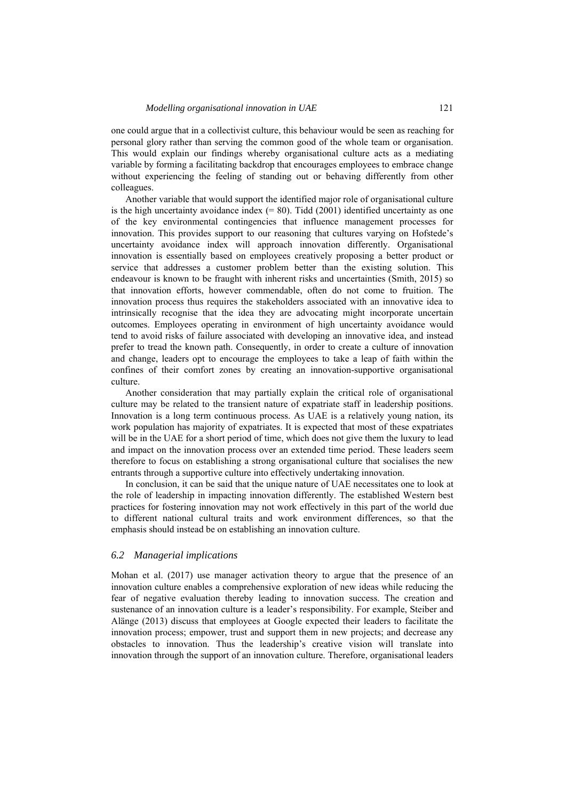one could argue that in a collectivist culture, this behaviour would be seen as reaching for personal glory rather than serving the common good of the whole team or organisation. This would explain our findings whereby organisational culture acts as a mediating variable by forming a facilitating backdrop that encourages employees to embrace change without experiencing the feeling of standing out or behaving differently from other colleagues.

Another variable that would support the identified major role of organisational culture is the high uncertainty avoidance index  $(= 80)$ . Tidd (2001) identified uncertainty as one of the key environmental contingencies that influence management processes for innovation. This provides support to our reasoning that cultures varying on Hofstede's uncertainty avoidance index will approach innovation differently. Organisational innovation is essentially based on employees creatively proposing a better product or service that addresses a customer problem better than the existing solution. This endeavour is known to be fraught with inherent risks and uncertainties (Smith, 2015) so that innovation efforts, however commendable, often do not come to fruition. The innovation process thus requires the stakeholders associated with an innovative idea to intrinsically recognise that the idea they are advocating might incorporate uncertain outcomes. Employees operating in environment of high uncertainty avoidance would tend to avoid risks of failure associated with developing an innovative idea, and instead prefer to tread the known path. Consequently, in order to create a culture of innovation and change, leaders opt to encourage the employees to take a leap of faith within the confines of their comfort zones by creating an innovation-supportive organisational culture.

Another consideration that may partially explain the critical role of organisational culture may be related to the transient nature of expatriate staff in leadership positions. Innovation is a long term continuous process. As UAE is a relatively young nation, its work population has majority of expatriates. It is expected that most of these expatriates will be in the UAE for a short period of time, which does not give them the luxury to lead and impact on the innovation process over an extended time period. These leaders seem therefore to focus on establishing a strong organisational culture that socialises the new entrants through a supportive culture into effectively undertaking innovation.

In conclusion, it can be said that the unique nature of UAE necessitates one to look at the role of leadership in impacting innovation differently. The established Western best practices for fostering innovation may not work effectively in this part of the world due to different national cultural traits and work environment differences, so that the emphasis should instead be on establishing an innovation culture.

## *6.2 Managerial implications*

Mohan et al. (2017) use manager activation theory to argue that the presence of an innovation culture enables a comprehensive exploration of new ideas while reducing the fear of negative evaluation thereby leading to innovation success. The creation and sustenance of an innovation culture is a leader's responsibility. For example, Steiber and Alänge (2013) discuss that employees at Google expected their leaders to facilitate the innovation process; empower, trust and support them in new projects; and decrease any obstacles to innovation. Thus the leadership's creative vision will translate into innovation through the support of an innovation culture. Therefore, organisational leaders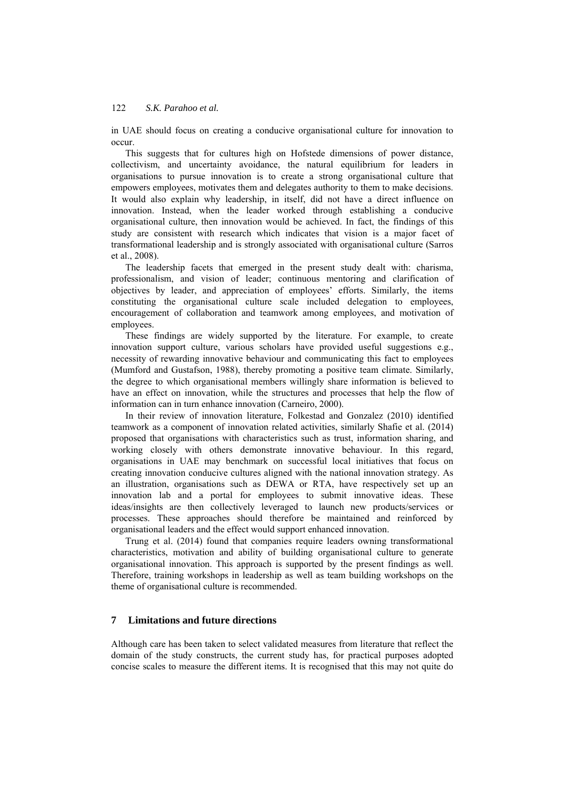in UAE should focus on creating a conducive organisational culture for innovation to occur.

This suggests that for cultures high on Hofstede dimensions of power distance, collectivism, and uncertainty avoidance, the natural equilibrium for leaders in organisations to pursue innovation is to create a strong organisational culture that empowers employees, motivates them and delegates authority to them to make decisions. It would also explain why leadership, in itself, did not have a direct influence on innovation. Instead, when the leader worked through establishing a conducive organisational culture, then innovation would be achieved. In fact, the findings of this study are consistent with research which indicates that vision is a major facet of transformational leadership and is strongly associated with organisational culture (Sarros et al., 2008).

The leadership facets that emerged in the present study dealt with: charisma, professionalism, and vision of leader; continuous mentoring and clarification of objectives by leader, and appreciation of employees' efforts. Similarly, the items constituting the organisational culture scale included delegation to employees, encouragement of collaboration and teamwork among employees, and motivation of employees.

These findings are widely supported by the literature. For example, to create innovation support culture, various scholars have provided useful suggestions e.g., necessity of rewarding innovative behaviour and communicating this fact to employees (Mumford and Gustafson, 1988), thereby promoting a positive team climate. Similarly, the degree to which organisational members willingly share information is believed to have an effect on innovation, while the structures and processes that help the flow of information can in turn enhance innovation (Carneiro, 2000).

In their review of innovation literature, Folkestad and Gonzalez (2010) identified teamwork as a component of innovation related activities, similarly Shafie et al. (2014) proposed that organisations with characteristics such as trust, information sharing, and working closely with others demonstrate innovative behaviour. In this regard, organisations in UAE may benchmark on successful local initiatives that focus on creating innovation conducive cultures aligned with the national innovation strategy. As an illustration, organisations such as DEWA or RTA, have respectively set up an innovation lab and a portal for employees to submit innovative ideas. These ideas/insights are then collectively leveraged to launch new products/services or processes. These approaches should therefore be maintained and reinforced by organisational leaders and the effect would support enhanced innovation.

Trung et al. (2014) found that companies require leaders owning transformational characteristics, motivation and ability of building organisational culture to generate organisational innovation. This approach is supported by the present findings as well. Therefore, training workshops in leadership as well as team building workshops on the theme of organisational culture is recommended.

## **7 Limitations and future directions**

Although care has been taken to select validated measures from literature that reflect the domain of the study constructs, the current study has, for practical purposes adopted concise scales to measure the different items. It is recognised that this may not quite do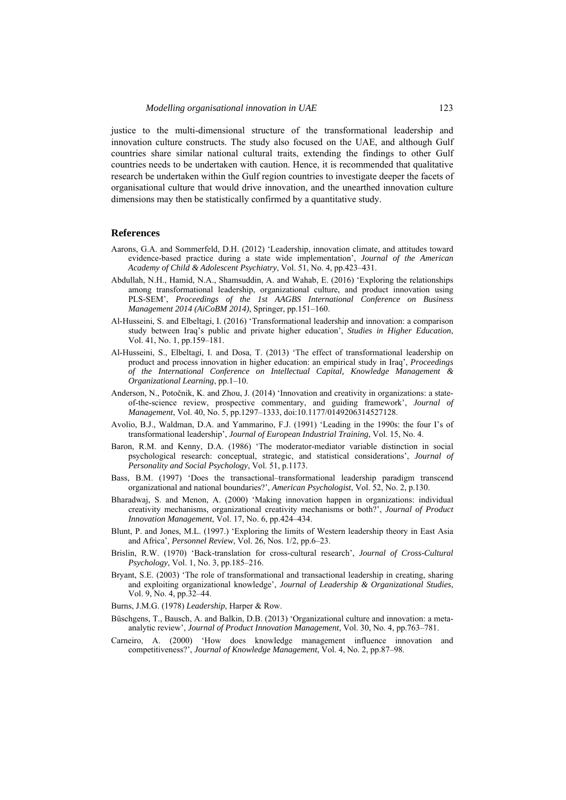justice to the multi-dimensional structure of the transformational leadership and innovation culture constructs. The study also focused on the UAE, and although Gulf countries share similar national cultural traits, extending the findings to other Gulf countries needs to be undertaken with caution. Hence, it is recommended that qualitative research be undertaken within the Gulf region countries to investigate deeper the facets of organisational culture that would drive innovation, and the unearthed innovation culture dimensions may then be statistically confirmed by a quantitative study.

#### **References**

- Aarons, G.A. and Sommerfeld, D.H. (2012) 'Leadership, innovation climate, and attitudes toward evidence-based practice during a state wide implementation', *Journal of the American Academy of Child & Adolescent Psychiatry*, Vol. 51, No. 4, pp.423–431.
- Abdullah, N.H., Hamid, N.A., Shamsuddin, A. and Wahab, E. (2016) 'Exploring the relationships among transformational leadership, organizational culture, and product innovation using PLS-SEM', *Proceedings of the 1st AAGBS International Conference on Business Management 2014 (AiCoBM 2014)*, Springer, pp.151–160.
- Al-Husseini, S. and Elbeltagi, I. (2016) 'Transformational leadership and innovation: a comparison study between Iraq's public and private higher education', *Studies in Higher Education*, Vol. 41, No. 1, pp.159–181.
- Al-Husseini, S., Elbeltagi, I. and Dosa, T. (2013) 'The effect of transformational leadership on product and process innovation in higher education: an empirical study in Iraq', *Proceedings of the International Conference on Intellectual Capital, Knowledge Management & Organizational Learning*, pp.1–10.
- Anderson, N., Potočnik, K. and Zhou, J. (2014) 'Innovation and creativity in organizations: a stateof-the-science review, prospective commentary, and guiding framework', *Journal of Management*, Vol. 40, No. 5, pp.1297–1333, doi:10.1177/0149206314527128.
- Avolio, B.J., Waldman, D.A. and Yammarino, F.J. (1991) 'Leading in the 1990s: the four I's of transformational leadership', *Journal of European Industrial Training*, Vol. 15, No. 4.
- Baron, R.M. and Kenny, D.A. (1986) 'The moderator-mediator variable distinction in social psychological research: conceptual, strategic, and statistical considerations', *Journal of Personality and Social Psychology*, Vol. 51, p.1173.
- Bass, B.M. (1997) 'Does the transactional–transformational leadership paradigm transcend organizational and national boundaries?', *American Psychologist*, Vol. 52, No. 2, p.130.
- Bharadwaj, S. and Menon, A. (2000) 'Making innovation happen in organizations: individual creativity mechanisms, organizational creativity mechanisms or both?', *Journal of Product Innovation Management*, Vol. 17, No. 6, pp.424–434.
- Blunt, P. and Jones, M.L. (1997.) 'Exploring the limits of Western leadership theory in East Asia and Africa', *Personnel Review*, Vol. 26, Nos. 1/2, pp.6–23.
- Brislin, R.W. (1970) 'Back-translation for cross-cultural research', *Journal of Cross-Cultural Psychology*, Vol. 1, No. 3, pp.185–216.
- Bryant, S.E. (2003) 'The role of transformational and transactional leadership in creating, sharing and exploiting organizational knowledge', *Journal of Leadership & Organizational Studies*, Vol. 9, No. 4, pp.32–44.
- Burns, J.M.G. (1978) *Leadership*, Harper & Row.
- Büschgens, T., Bausch, A. and Balkin, D.B. (2013) 'Organizational culture and innovation: a metaanalytic review', *Journal of Product Innovation Management*, Vol. 30, No. 4, pp.763–781.
- Carneiro, A. (2000) 'How does knowledge management influence innovation and competitiveness?', *Journal of Knowledge Management*, Vol. 4, No. 2, pp.87–98.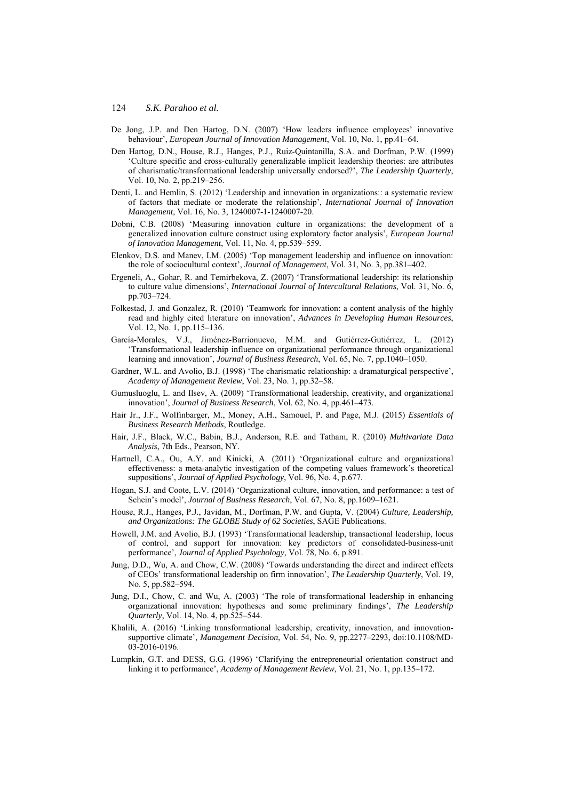- De Jong, J.P. and Den Hartog, D.N. (2007) 'How leaders influence employees' innovative behaviour', *European Journal of Innovation Management*, Vol. 10, No. 1, pp.41–64.
- Den Hartog, D.N., House, R.J., Hanges, P.J., Ruiz-Quintanilla, S.A. and Dorfman, P.W. (1999) 'Culture specific and cross-culturally generalizable implicit leadership theories: are attributes of charismatic/transformational leadership universally endorsed?', *The Leadership Quarterly*, Vol. 10, No. 2, pp.219–256.
- Denti, L. and Hemlin, S. (2012) 'Leadership and innovation in organizations:: a systematic review of factors that mediate or moderate the relationship', *International Journal of Innovation Management*, Vol. 16, No. 3, 1240007-1-1240007-20.
- Dobni, C.B. (2008) 'Measuring innovation culture in organizations: the development of a generalized innovation culture construct using exploratory factor analysis', *European Journal of Innovation Management*, Vol. 11, No. 4, pp.539–559.
- Elenkov, D.S. and Manev, I.M. (2005) 'Top management leadership and influence on innovation: the role of sociocultural context', *Journal of Management*, Vol. 31, No. 3, pp.381–402.
- Ergeneli, A., Gohar, R. and Temirbekova, Z. (2007) 'Transformational leadership: its relationship to culture value dimensions', *International Journal of Intercultural Relations*, Vol. 31, No. 6, pp.703–724.
- Folkestad, J. and Gonzalez, R. (2010) 'Teamwork for innovation: a content analysis of the highly read and highly cited literature on innovation', *Advances in Developing Human Resources*, Vol. 12, No. 1, pp.115–136.
- García-Morales, V.J., Jiménez-Barrionuevo, M.M. and Gutiérrez-Gutiérrez, L. (2012) 'Transformational leadership influence on organizational performance through organizational learning and innovation', *Journal of Business Research*, Vol. 65, No. 7, pp.1040–1050.
- Gardner, W.L. and Avolio, B.J. (1998) 'The charismatic relationship: a dramaturgical perspective', *Academy of Management Review*, Vol. 23, No. 1, pp.32–58.
- Gumusluoglu, L. and Ilsev, A. (2009) 'Transformational leadership, creativity, and organizational innovation', *Journal of Business Research*, Vol. 62, No. 4, pp.461–473.
- Hair Jr., J.F., Wolfinbarger, M., Money, A.H., Samouel, P. and Page, M.J. (2015) *Essentials of Business Research Methods*, Routledge.
- Hair, J.F., Black, W.C., Babin, B.J., Anderson, R.E. and Tatham, R. (2010) *Multivariate Data Analysis*, 7th Eds., Pearson, NY.
- Hartnell, C.A., Ou, A.Y. and Kinicki, A. (2011) 'Organizational culture and organizational effectiveness: a meta-analytic investigation of the competing values framework's theoretical suppositions', *Journal of Applied Psychology*, Vol. 96, No. 4, p.677.
- Hogan, S.J. and Coote, L.V. (2014) 'Organizational culture, innovation, and performance: a test of Schein's model', *Journal of Business Research*, Vol. 67, No. 8, pp.1609–1621.
- House, R.J., Hanges, P.J., Javidan, M., Dorfman, P.W. and Gupta, V. (2004) *Culture, Leadership, and Organizations: The GLOBE Study of 62 Societies*, SAGE Publications.
- Howell, J.M. and Avolio, B.J. (1993) 'Transformational leadership, transactional leadership, locus of control, and support for innovation: key predictors of consolidated-business-unit performance', *Journal of Applied Psychology*, Vol. 78, No. 6, p.891.
- Jung, D.D., Wu, A. and Chow, C.W. (2008) 'Towards understanding the direct and indirect effects of CEOs' transformational leadership on firm innovation', *The Leadership Quarterly*, Vol. 19, No. 5, pp.582–594.
- Jung, D.I., Chow, C. and Wu, A. (2003) 'The role of transformational leadership in enhancing organizational innovation: hypotheses and some preliminary findings', *The Leadership Quarterly*, Vol. 14, No. 4, pp.525–544.
- Khalili, A. (2016) 'Linking transformational leadership, creativity, innovation, and innovationsupportive climate', *Management Decision*, Vol. 54, No. 9, pp.2277–2293, doi:10.1108/MD-03-2016-0196.
- Lumpkin, G.T. and DESS, G.G. (1996) 'Clarifying the entrepreneurial orientation construct and linking it to performance', *Academy of Management Review*, Vol. 21, No. 1, pp.135–172.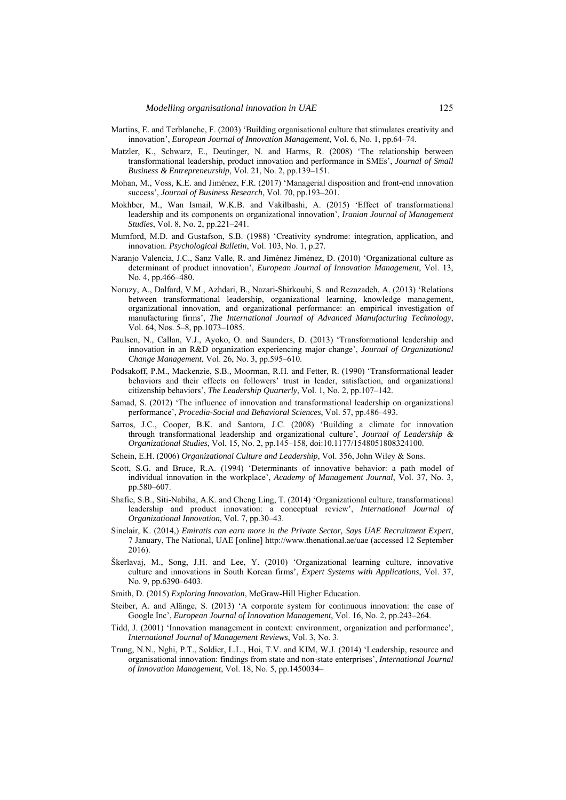- Martins, E. and Terblanche, F. (2003) 'Building organisational culture that stimulates creativity and innovation', *European Journal of Innovation Management*, Vol. 6, No. 1, pp.64–74.
- Matzler, K., Schwarz, E., Deutinger, N. and Harms, R. (2008) 'The relationship between transformational leadership, product innovation and performance in SMEs', *Journal of Small Business & Entrepreneurship*, Vol. 21, No. 2, pp.139–151.
- Mohan, M., Voss, K.E. and Jiménez, F.R. (2017) 'Managerial disposition and front-end innovation success', *Journal of Business Research*, Vol. 70, pp.193–201.
- Mokhber, M., Wan Ismail, W.K.B. and Vakilbashi, A. (2015) 'Effect of transformational leadership and its components on organizational innovation', *Iranian Journal of Management Studies*, Vol. 8, No. 2, pp.221–241.
- Mumford, M.D. and Gustafson, S.B. (1988) 'Creativity syndrome: integration, application, and innovation. *Psychological Bulletin*, Vol. 103, No. 1, p.27.
- Naranjo Valencia, J.C., Sanz Valle, R. and Jiménez Jiménez, D. (2010) 'Organizational culture as determinant of product innovation', *European Journal of Innovation Management*, Vol. 13, No. 4, pp.466–480.
- Noruzy, A., Dalfard, V.M., Azhdari, B., Nazari-Shirkouhi, S. and Rezazadeh, A. (2013) 'Relations between transformational leadership, organizational learning, knowledge management, organizational innovation, and organizational performance: an empirical investigation of manufacturing firms', *The International Journal of Advanced Manufacturing Technology*, Vol. 64, Nos. 5–8, pp.1073–1085.
- Paulsen, N., Callan, V.J., Ayoko, O. and Saunders, D. (2013) 'Transformational leadership and innovation in an R&D organization experiencing major change', *Journal of Organizational Change Management*, Vol. 26, No. 3, pp.595–610.
- Podsakoff, P.M., Mackenzie, S.B., Moorman, R.H. and Fetter, R. (1990) 'Transformational leader behaviors and their effects on followers' trust in leader, satisfaction, and organizational citizenship behaviors', *The Leadership Quarterly*, Vol. 1, No. 2, pp.107–142.
- Samad, S. (2012) 'The influence of innovation and transformational leadership on organizational performance', *Procedia-Social and Behavioral Sciences*, Vol. 57, pp.486–493.
- Sarros, J.C., Cooper, B.K. and Santora, J.C. (2008) 'Building a climate for innovation through transformational leadership and organizational culture', *Journal of Leadership & Organizational Studies*, Vol. 15, No. 2, pp.145–158, doi:10.1177/1548051808324100.
- Schein, E.H. (2006) *Organizational Culture and Leadership*, Vol. 356, John Wiley & Sons.
- Scott, S.G. and Bruce, R.A. (1994) 'Determinants of innovative behavior: a path model of individual innovation in the workplace', *Academy of Management Journal*, Vol. 37, No. 3, pp.580–607.
- Shafie, S.B., Siti-Nabiha, A.K. and Cheng Ling, T. (2014) 'Organizational culture, transformational leadership and product innovation: a conceptual review', *International Journal of Organizational Innovation*, Vol. 7, pp.30–43.
- Sinclair, K. (2014,) *Emiratis can earn more in the Private Sector, Says UAE Recruitment Expert*, 7 January, The National, UAE [online] http://www.thenational.ae/uae (accessed 12 September 2016).
- Škerlavaj, M., Song, J.H. and Lee, Y. (2010) 'Organizational learning culture, innovative culture and innovations in South Korean firms', *Expert Systems with Applications*, Vol. 37, No. 9, pp.6390–6403.
- Smith, D. (2015) *Exploring Innovation*, McGraw-Hill Higher Education.
- Steiber, A. and Alänge, S. (2013) 'A corporate system for continuous innovation: the case of Google Inc', *European Journal of Innovation Management*, Vol. 16, No. 2, pp.243–264.
- Tidd, J. (2001) 'Innovation management in context: environment, organization and performance', *International Journal of Management Reviews*, Vol. 3, No. 3.
- Trung, N.N., Nghi, P.T., Soldier, L.L., Hoi, T.V. and KIM, W.J. (2014) 'Leadership, resource and organisational innovation: findings from state and non-state enterprises', *International Journal of Innovation Management*, Vol. 18, No. 5, pp.1450034–